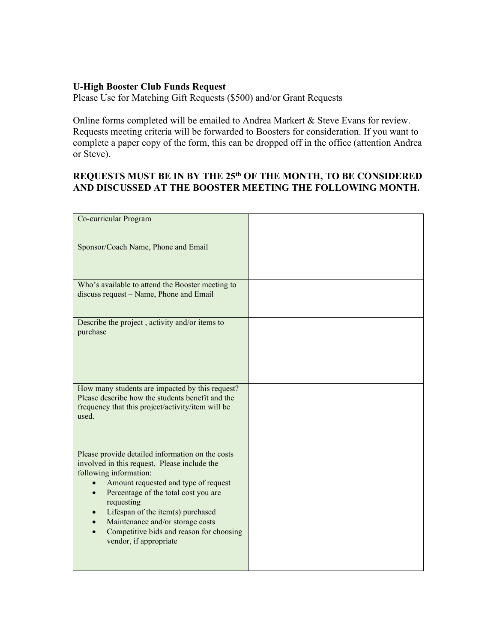## **U-High Booster Club Funds Request**

Please Use for Matching Gift Requests (\$500) and/or Grant Requests

Online forms completed will be emailed to Andrea Markert & Steve Evans for review. Requests meeting criteria will be forwarded to Boosters for consideration. If you want to complete a paper copy of the form, this can be dropped off in the office (attention Andrea or Steve).

## **REQUESTS MUST BE IN BY THE 25th OF THE MONTH, TO BE CONSIDERED AND DISCUSSED AT THE BOOSTER MEETING THE FOLLOWING MONTH.**

| Co-curricular Program                                                                                                                                                                                                                                                                                                                                                   |  |
|-------------------------------------------------------------------------------------------------------------------------------------------------------------------------------------------------------------------------------------------------------------------------------------------------------------------------------------------------------------------------|--|
| Sponsor/Coach Name, Phone and Email                                                                                                                                                                                                                                                                                                                                     |  |
| Who's available to attend the Booster meeting to<br>discuss request - Name, Phone and Email                                                                                                                                                                                                                                                                             |  |
| Describe the project, activity and/or items to<br>purchase                                                                                                                                                                                                                                                                                                              |  |
| How many students are impacted by this request?<br>Please describe how the students benefit and the<br>frequency that this project/activity/item will be<br>used.                                                                                                                                                                                                       |  |
| Please provide detailed information on the costs<br>involved in this request. Please include the<br>following information:<br>Amount requested and type of request<br>Percentage of the total cost you are<br>requesting<br>Lifespan of the item(s) purchased<br>Maintenance and/or storage costs<br>Competitive bids and reason for choosing<br>vendor, if appropriate |  |